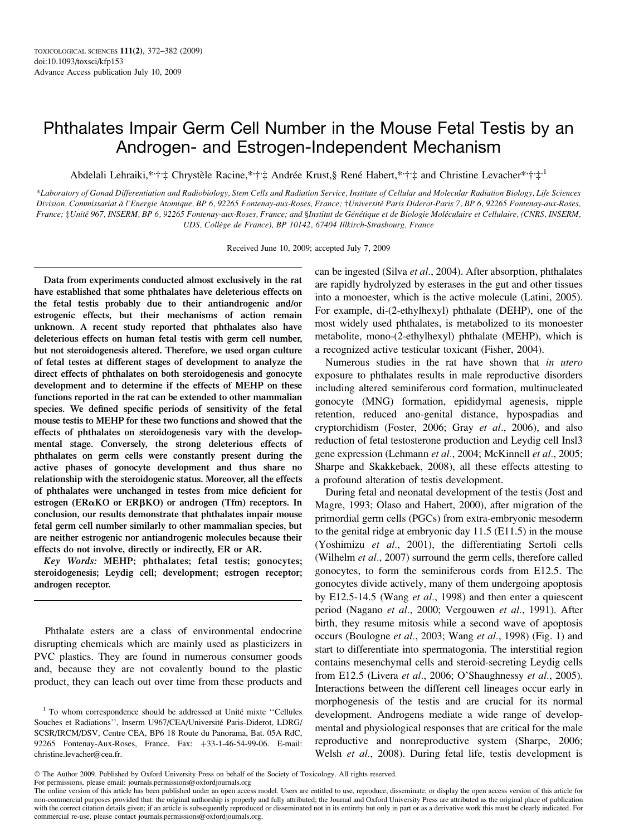# Phthalates Impair Germ Cell Number in the Mouse Fetal Testis by an Androgen- and Estrogen-Independent Mechanism

Abdelali Lehraiki,\*<sup>\*</sup>†\*‡ Chrystèle Racine,\*\*†\*‡ Andrée Krust,§ René Habert,\*\*†\*‡ and Christine Levacher\*<sub>\*</sub>†\*‡<sup>,1</sup>

\*Laboratory of Gonad Differentiation and Radiobiology, Stem Cells and Radiation Service, Institute of Cellular and Molecular Radiation Biology, Life Sciences Division, Commissariat à l'Energie Atomique, BP 6, 92265 Fontenay-aux-Roses, France; †Université Paris Diderot-Paris 7, BP 6, 92265 Fontenay-aux-Roses, France; #Unité 967, INSERM, BP 6, 92265 Fontenay-aux-Roses, France; and §Institut de Génétique et de Biologie Moléculaire et Cellulaire, (CNRS, INSERM, UDS, Collège de France), BP 10142, 67404 Illkirch-Strasbourg, France

Received June 10, 2009; accepted July 7, 2009

Data from experiments conducted almost exclusively in the rat have established that some phthalates have deleterious effects on the fetal testis probably due to their antiandrogenic and/or estrogenic effects, but their mechanisms of action remain unknown. A recent study reported that phthalates also have deleterious effects on human fetal testis with germ cell number, but not steroidogenesis altered. Therefore, we used organ culture of fetal testes at different stages of development to analyze the direct effects of phthalates on both steroidogenesis and gonocyte development and to determine if the effects of MEHP on these functions reported in the rat can be extended to other mammalian species. We defined specific periods of sensitivity of the fetal mouse testis to MEHP for these two functions and showed that the effects of phthalates on steroidogenesis vary with the developmental stage. Conversely, the strong deleterious effects of phthalates on germ cells were constantly present during the active phases of gonocyte development and thus share no relationship with the steroidogenic status. Moreover, all the effects of phthalates were unchanged in testes from mice deficient for estrogen (ΕRαΚΟ or ΕRβΚΟ) or androgen (Tfm) receptors. In conclusion, our results demonstrate that phthalates impair mouse fetal germ cell number similarly to other mammalian species, but are neither estrogenic nor antiandrogenic molecules because their effects do not involve, directly or indirectly, ER or AR.

Key Words: MEHP; phthalates; fetal testis; gonocytes; steroidogenesis; Leydig cell; development; estrogen receptor; androgen receptor.

Phthalate esters are a class of environmental endocrine disrupting chemicals which are mainly used as plasticizers in PVC plastics. They are found in numerous consumer goods and, because they are not covalently bound to the plastic product, they can leach out over time from these products and

can be ingested (Silva et al., 2004). After absorption, phthalates are rapidly hydrolyzed by esterases in the gut and other tissues into a monoester, which is the active molecule (Latini, 2005). For example, di-(2-ethylhexyl) phthalate (DEHP), one of the most widely used phthalates, is metabolized to its monoester metabolite, mono-(2-ethylhexyl) phthalate (MEHP), which is a recognized active testicular toxicant (Fisher, 2004).

Numerous studies in the rat have shown that in utero exposure to phthalates results in male reproductive disorders including altered seminiferous cord formation, multinucleated gonocyte (MNG) formation, epididymal agenesis, nipple retention, reduced ano-genital distance, hypospadias and cryptorchidism (Foster, 2006; Gray et al., 2006), and also reduction of fetal testosterone production and Leydig cell Insl3 gene expression (Lehmann et al., 2004; McKinnell et al., 2005; Sharpe and Skakkebaek, 2008), all these effects attesting to a profound alteration of testis development.

During fetal and neonatal development of the testis (Jost and Magre, 1993; Olaso and Habert, 2000), after migration of the primordial germ cells (PGCs) from extra-embryonic mesoderm to the genital ridge at embryonic day 11.5 (E11.5) in the mouse (Yoshimizu et al., 2001), the differentiating Sertoli cells (Wilhelm *et al.*, 2007) surround the germ cells, therefore called gonocytes, to form the seminiferous cords from E12.5. The gonocytes divide actively, many of them undergoing apoptosis by E12.5-14.5 (Wang et al., 1998) and then enter a quiescent period (Nagano et al., 2000; Vergouwen et al., 1991). After birth, they resume mitosis while a second wave of apoptosis occurs (Boulogne et al., 2003; Wang et al., 1998) (Fig. 1) and start to differentiate into spermatogonia. The interstitial region contains mesenchymal cells and steroid-secreting Leydig cells from E12.5 (Livera et al., 2006; O'Shaughnessy et al., 2005). Interactions between the different cell lineages occur early in morphogenesis of the testis and are crucial for its normal development. Androgens mediate a wide range of developmental and physiological responses that are critical for the male reproductive and nonreproductive system (Sharpe, 2006; Welsh et al., 2008). During fetal life, testis development is

 $1$  To whom correspondence should be addressed at Unité mixte "Cellules Souches et Radiations", Inserm U967/CEA/Université Paris-Diderot, LDRG/ SCSR/IRCM/DSV, Centre CEA, BP6 18 Route du Panorama, Bat. 05A RdC, 92265 Fontenay-Aux-Roses, France. Fax: +33-1-46-54-99-06. E-mail: christine.levacher@cea.fr.

The Author 2009. Published by Oxford University Press on behalf of the Society of Toxicology. All rights reserved. For permissions, please email: journals.permissions@oxfordjournals.org

The online version of this article has been published under an open access model. Users are entitled to use, reproduce, disseminate, or display the open access version of this article for non-commercial purposes provided that: the original authorship is properly and fully attributed; the Journal and Oxford University Press are attributed as the original place of publication with the correct citation details given; if an article is subsequently reproduced or disseminated not in its entirety but only in part or as a derivative work this must be clearly indicated. For commercial re-use, please contact journals.permissions@oxfordjournals.org.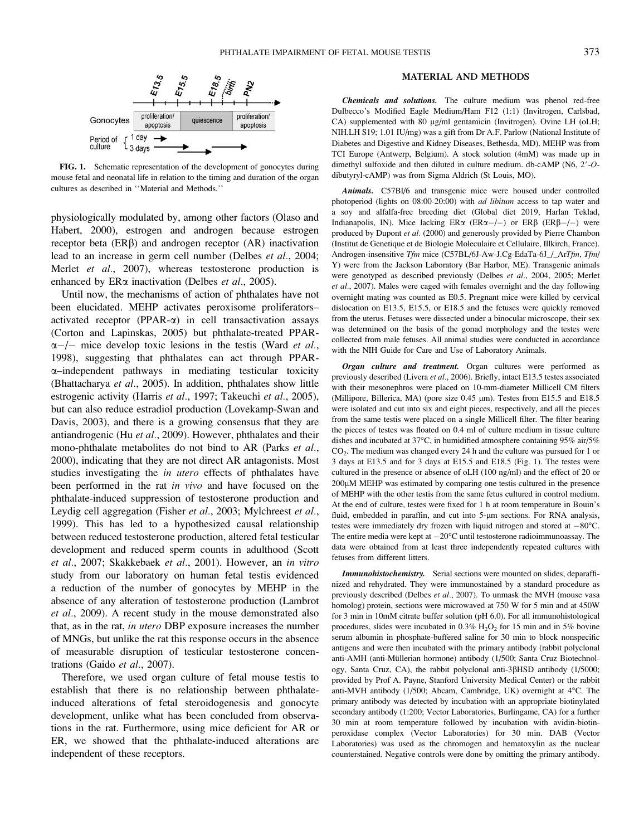

FIG. 1. Schematic representation of the development of gonocytes during mouse fetal and neonatal life in relation to the timing and duration of the organ cultures as described in ''Material and Methods.''

physiologically modulated by, among other factors (Olaso and Habert, 2000), estrogen and androgen because estrogen receptor beta  $(ER\beta)$  and androgen receptor  $(AR)$  inactivation lead to an increase in germ cell number (Delbes et al., 2004; Merlet *et al.*, 2007), whereas testosterone production is enhanced by  $ER\alpha$  inactivation (Delbes *et al.*, 2005).

Until now, the mechanisms of action of phthalates have not been elucidated. MEHP activates peroxisome proliferators– activated receptor (PPAR- $\alpha$ ) in cell transactivation assays (Corton and Lapinskas, 2005) but phthalate-treated PPAR- $\alpha$ -/- mice develop toxic lesions in the testis (Ward *et al.*, 1998), suggesting that phthalates can act through PPARa–independent pathways in mediating testicular toxicity (Bhattacharya et al., 2005). In addition, phthalates show little estrogenic activity (Harris et al., 1997; Takeuchi et al., 2005), but can also reduce estradiol production (Lovekamp-Swan and Davis, 2003), and there is a growing consensus that they are antiandrogenic (Hu et al., 2009). However, phthalates and their mono-phthalate metabolites do not bind to AR (Parks et al., 2000), indicating that they are not direct AR antagonists. Most studies investigating the *in utero* effects of phthalates have been performed in the rat in vivo and have focused on the phthalate-induced suppression of testosterone production and Leydig cell aggregation (Fisher et al., 2003; Mylchreest et al., 1999). This has led to a hypothesized causal relationship between reduced testosterone production, altered fetal testicular development and reduced sperm counts in adulthood (Scott et al., 2007; Skakkebaek et al., 2001). However, an in vitro study from our laboratory on human fetal testis evidenced a reduction of the number of gonocytes by MEHP in the absence of any alteration of testosterone production (Lambrot et al., 2009). A recent study in the mouse demonstrated also that, as in the rat, in utero DBP exposure increases the number of MNGs, but unlike the rat this response occurs in the absence of measurable disruption of testicular testosterone concentrations (Gaido et al., 2007).

Therefore, we used organ culture of fetal mouse testis to establish that there is no relationship between phthalateinduced alterations of fetal steroidogenesis and gonocyte development, unlike what has been concluded from observations in the rat. Furthermore, using mice deficient for AR or ER, we showed that the phthalate-induced alterations are independent of these receptors.

## MATERIAL AND METHODS

Chemicals and solutions. The culture medium was phenol red-free Dulbecco's Modified Eagle Medium/Ham F12 (1:1) (Invitrogen, Carlsbad, CA) supplemented with 80 µg/ml gentamicin (Invitrogen). Ovine LH (oLH; NIH.LH S19; 1.01 IU/mg) was a gift from Dr A.F. Parlow (National Institute of Diabetes and Digestive and Kidney Diseases, Bethesda, MD). MEHP was from TCI Europe (Antwerp, Belgium). A stock solution (4mM) was made up in dimethyl sulfoxide and then diluted in culture medium. db-cAMP (N6,  $2'-O$ dibutyryl-cAMP) was from Sigma Aldrich (St Louis, MO).

Animals. C57Bl/6 and transgenic mice were housed under controlled photoperiod (lights on 08:00-20:00) with ad libitum access to tap water and a soy and alfalfa-free breeding diet (Global diet 2019, Harlan Teklad, Indianapolis, IN). Mice lacking ER $\alpha$  (ER $\alpha$ -/-) or ER $\beta$  (ER $\beta$ -/-) were produced by Dupont et al. (2000) and generously provided by Pierre Chambon (Institut de Genetique et de Biologie Moleculaire et Cellulaire, Illkirch, France). Androgen-insensitive Tfm mice (C57BL/6J-Aw-J.Cg-EdaTa-6J\_/\_ArTfm, Tfm/ Y) were from the Jackson Laboratory (Bar Harbor, ME). Transgenic animals were genotyped as described previously (Delbes et al., 2004, 2005; Merlet et al., 2007). Males were caged with females overnight and the day following overnight mating was counted as E0.5. Pregnant mice were killed by cervical dislocation on E13.5, E15.5, or E18.5 and the fetuses were quickly removed from the uterus. Fetuses were dissected under a binocular microscope, their sex was determined on the basis of the gonad morphology and the testes were collected from male fetuses. All animal studies were conducted in accordance with the NIH Guide for Care and Use of Laboratory Animals.

Organ culture and treatment. Organ cultures were performed as previously described (Livera et al., 2006). Briefly, intact E13.5 testes associated with their mesonephros were placed on 10-mm-diameter Millicell CM filters (Millipore, Billerica, MA) (pore size  $0.45 \mu m$ ). Testes from E15.5 and E18.5 were isolated and cut into six and eight pieces, respectively, and all the pieces from the same testis were placed on a single Millicell filter. The filter bearing the pieces of testes was floated on 0.4 ml of culture medium in tissue culture dishes and incubated at 37°C, in humidified atmosphere containing 95% air/5%  $CO<sub>2</sub>$ . The medium was changed every 24 h and the culture was pursued for 1 or 3 days at E13.5 and for 3 days at E15.5 and E18.5 (Fig. 1). The testes were cultured in the presence or absence of oLH (100 ng/ml) and the effect of 20 or 200 $\mu$ M MEHP was estimated by comparing one testis cultured in the presence of MEHP with the other testis from the same fetus cultured in control medium. At the end of culture, testes were fixed for 1 h at room temperature in Bouin's fluid, embedded in paraffin, and cut into 5-um sections. For RNA analysis, testes were immediately dry frozen with liquid nitrogen and stored at  $-80^{\circ}$ C. The entire media were kept at  $-20^{\circ}$ C until testosterone radioimmunoassay. The data were obtained from at least three independently repeated cultures with fetuses from different litters.

Immunohistochemistry. Serial sections were mounted on slides, deparaffinized and rehydrated. They were immunostained by a standard procedure as previously described (Delbes et al., 2007). To unmask the MVH (mouse vasa homolog) protein, sections were microwaved at 750 W for 5 min and at 450W for 3 min in 10mM citrate buffer solution (pH 6.0). For all immunohistological procedures, slides were incubated in  $0.3\%$  H<sub>2</sub>O<sub>2</sub> for 15 min and in 5% bovine serum albumin in phosphate-buffered saline for 30 min to block nonspecific antigens and were then incubated with the primary antibody (rabbit polyclonal anti-AMH (anti-Müllerian hormone) antibody (1/500; Santa Cruz Biotechnology, Santa Cruz, CA), the rabbit polyclonal anti-3bHSD antibody (1/5000; provided by Prof A. Payne, Stanford University Medical Center) or the rabbit anti-MVH antibody (1/500; Abcam, Cambridge, UK) overnight at 4°C. The primary antibody was detected by incubation with an appropriate biotinylated secondary antibody (1:200; Vector Laboratories, Burlingame, CA) for a further 30 min at room temperature followed by incubation with avidin-biotinperoxidase complex (Vector Laboratories) for 30 min. DAB (Vector Laboratories) was used as the chromogen and hematoxylin as the nuclear counterstained. Negative controls were done by omitting the primary antibody.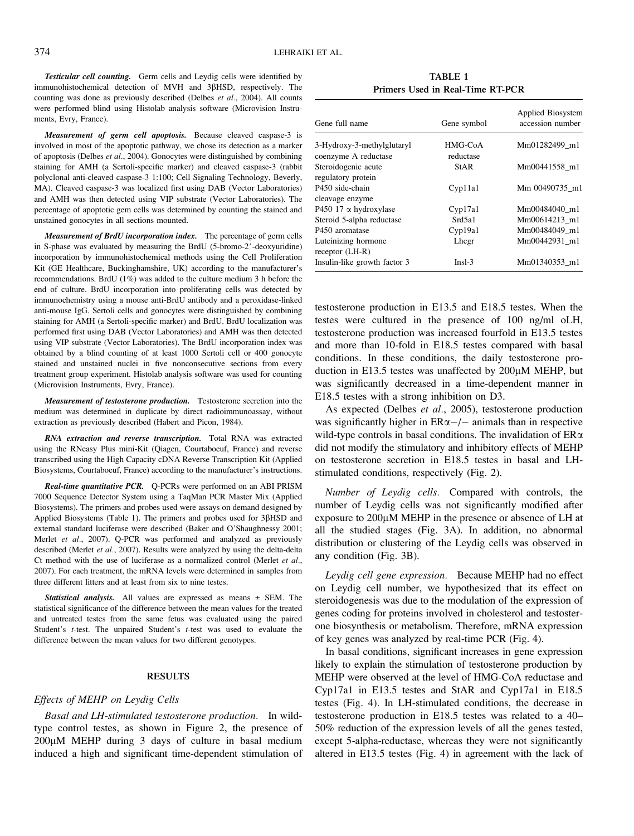Testicular cell counting. Germ cells and Leydig cells were identified by immunohistochemical detection of MVH and 3bHSD, respectively. The counting was done as previously described (Delbes et al., 2004). All counts were performed blind using Histolab analysis software (Microvision Instruments, Evry, France).

Measurement of germ cell apoptosis. Because cleaved caspase-3 is involved in most of the apoptotic pathway, we chose its detection as a marker of apoptosis (Delbes et al., 2004). Gonocytes were distinguished by combining staining for AMH (a Sertoli-specific marker) and cleaved caspase-3 (rabbit polyclonal anti-cleaved caspase-3 1:100; Cell Signaling Technology, Beverly, MA). Cleaved caspase-3 was localized first using DAB (Vector Laboratories) and AMH was then detected using VIP substrate (Vector Laboratories). The percentage of apoptotic gem cells was determined by counting the stained and unstained gonocytes in all sections mounted.

Measurement of BrdU incorporation index. The percentage of germ cells in S-phase was evaluated by measuring the BrdU (5-bromo-2'-deoxyuridine) incorporation by immunohistochemical methods using the Cell Proliferation Kit (GE Healthcare, Buckinghamshire, UK) according to the manufacturer's recommendations. BrdU (1%) was added to the culture medium 3 h before the end of culture. BrdU incorporation into proliferating cells was detected by immunochemistry using a mouse anti-BrdU antibody and a peroxidase-linked anti-mouse IgG. Sertoli cells and gonocytes were distinguished by combining staining for AMH (a Sertoli-specific marker) and BrdU. BrdU localization was performed first using DAB (Vector Laboratories) and AMH was then detected using VIP substrate (Vector Laboratories). The BrdU incorporation index was obtained by a blind counting of at least 1000 Sertoli cell or 400 gonocyte stained and unstained nuclei in five nonconsecutive sections from every treatment group experiment. Histolab analysis software was used for counting (Microvision Instruments, Evry, France).

Measurement of testosterone production. Testosterone secretion into the medium was determined in duplicate by direct radioimmunoassay, without extraction as previously described (Habert and Picon, 1984).

RNA extraction and reverse transcription. Total RNA was extracted using the RNeasy Plus mini-Kit (Qiagen, Courtaboeuf, France) and reverse transcribed using the High Capacity cDNA Reverse Transcription Kit (Applied Biosystems, Courtaboeuf, France) according to the manufacturer's instructions.

Real-time quantitative PCR. Q-PCRs were performed on an ABI PRISM 7000 Sequence Detector System using a TaqMan PCR Master Mix (Applied Biosystems). The primers and probes used were assays on demand designed by Applied Biosystems (Table 1). The primers and probes used for  $3\beta$ HSD and external standard luciferase were described (Baker and O'Shaughnessy 2001; Merlet et al., 2007). Q-PCR was performed and analyzed as previously described (Merlet et al., 2007). Results were analyzed by using the delta-delta Ct method with the use of luciferase as a normalized control (Merlet et al., 2007). For each treatment, the mRNA levels were determined in samples from three different litters and at least from six to nine testes.

**Statistical analysis.** All values are expressed as means  $\pm$  SEM. The statistical significance of the difference between the mean values for the treated and untreated testes from the same fetus was evaluated using the paired Student's *t*-test. The unpaired Student's *t*-test was used to evaluate the difference between the mean values for two different genotypes.

#### RESULTS

### Effects of MEHP on Leydig Cells

Basal and LH-stimulated testosterone production. In wildtype control testes, as shown in Figure 2, the presence of  $200\mu$ M MEHP during 3 days of culture in basal medium induced a high and significant time-dependent stimulation of

TABLE 1 Primers Used in Real-Time RT-PCR

| Gene full name                                     | Gene symbol          | <b>Applied Biosystem</b><br>accession number |
|----------------------------------------------------|----------------------|----------------------------------------------|
| 3-Hydroxy-3-methylglutaryl<br>coenzyme A reductase | HMG-CoA<br>reductase | Mm01282499 m1                                |
| Steroidogenic acute<br>regulatory protein          | StAR                 | Mm00441558 m1                                |
| P450 side-chain<br>cleavage enzyme                 | Cvp11a1              | Mm 00490735 m1                               |
| P450 17 $\alpha$ hydroxylase                       | Cyp17a1              | Mm00484040 m1                                |
| Steroid 5-alpha reductase                          | Srd5a1               | Mm00614213 m1                                |
| P450 aromatase                                     | Cyp19a1              | Mm00484049 m1                                |
| Luteinizing hormone<br>receptor $(LH-R)$           | Lhcgr                | Mm00442931 m1                                |
| Insulin-like growth factor 3                       | $Insl-3$             | Mm01340353 m1                                |

testosterone production in E13.5 and E18.5 testes. When the testes were cultured in the presence of 100 ng/ml oLH, testosterone production was increased fourfold in E13.5 testes and more than 10-fold in E18.5 testes compared with basal conditions. In these conditions, the daily testosterone production in E13.5 testes was unaffected by  $200\mu$ M MEHP, but was significantly decreased in a time-dependent manner in E18.5 testes with a strong inhibition on D3.

As expected (Delbes et al., 2005), testosterone production was significantly higher in  $ER\alpha-/-$  animals than in respective wild-type controls in basal conditions. The invalidation of  $ER\alpha$ did not modify the stimulatory and inhibitory effects of MEHP on testosterone secretion in E18.5 testes in basal and LHstimulated conditions, respectively (Fig. 2).

Number of Leydig cells. Compared with controls, the number of Leydig cells was not significantly modified after exposure to  $200\mu$ M MEHP in the presence or absence of LH at all the studied stages (Fig. 3A). In addition, no abnormal distribution or clustering of the Leydig cells was observed in any condition (Fig. 3B).

Leydig cell gene expression. Because MEHP had no effect on Leydig cell number, we hypothesized that its effect on steroidogenesis was due to the modulation of the expression of genes coding for proteins involved in cholesterol and testosterone biosynthesis or metabolism. Therefore, mRNA expression of key genes was analyzed by real-time PCR (Fig. 4).

In basal conditions, significant increases in gene expression likely to explain the stimulation of testosterone production by MEHP were observed at the level of HMG-CoA reductase and Cyp17a1 in E13.5 testes and StAR and Cyp17a1 in E18.5 testes (Fig. 4). In LH-stimulated conditions, the decrease in testosterone production in E18.5 testes was related to a 40– 50% reduction of the expression levels of all the genes tested, except 5-alpha-reductase, whereas they were not significantly altered in E13.5 testes (Fig. 4) in agreement with the lack of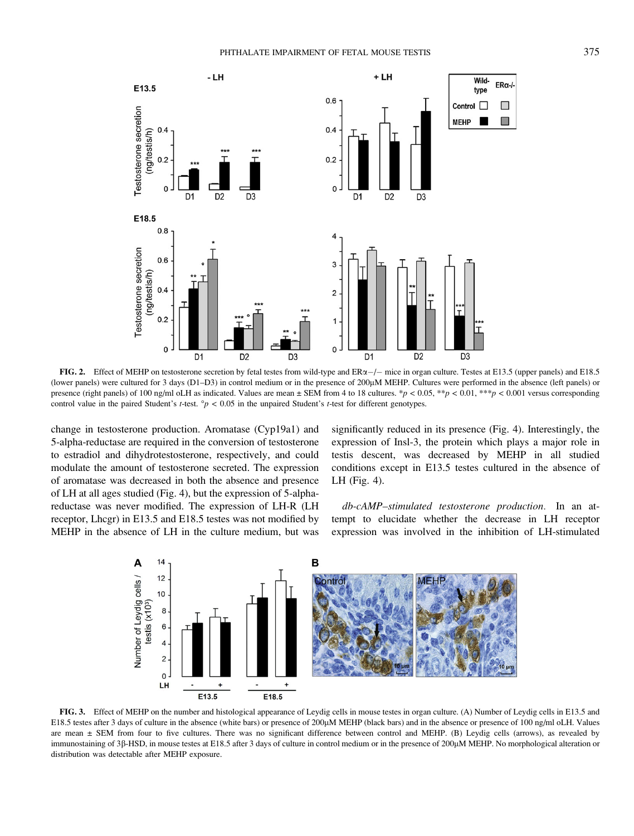

FIG. 2. Effect of MEHP on testosterone secretion by fetal testes from wild-type and  $ER\alpha$  -/- mice in organ culture. Testes at E13.5 (upper panels) and E18.5 (lower panels) were cultured for 3 days (D1–D3) in control medium or in the presence of 200lM MEHP. Cultures were performed in the absence (left panels) or presence (right panels) of 100 ng/ml oLH as indicated. Values are mean  $\pm$  SEM from 4 to 18 cultures. \*p < 0.05, \*\*p < 0.01, \*\*\*p < 0.001 versus corresponding control value in the paired Student's t-test.  $\degree p$  < 0.05 in the unpaired Student's t-test for different genotypes.

change in testosterone production. Aromatase (Cyp19a1) and 5-alpha-reductase are required in the conversion of testosterone to estradiol and dihydrotestosterone, respectively, and could modulate the amount of testosterone secreted. The expression of aromatase was decreased in both the absence and presence of LH at all ages studied (Fig. 4), but the expression of 5-alphareductase was never modified. The expression of LH-R (LH receptor, Lhcgr) in E13.5 and E18.5 testes was not modified by MEHP in the absence of LH in the culture medium, but was

significantly reduced in its presence (Fig. 4). Interestingly, the expression of Insl-3, the protein which plays a major role in testis descent, was decreased by MEHP in all studied conditions except in E13.5 testes cultured in the absence of LH (Fig. 4).

db-cAMP–stimulated testosterone production. In an attempt to elucidate whether the decrease in LH receptor expression was involved in the inhibition of LH-stimulated



FIG. 3. Effect of MEHP on the number and histological appearance of Leydig cells in mouse testes in organ culture. (A) Number of Leydig cells in E13.5 and E18.5 testes after 3 days of culture in the absence (white bars) or presence of 200µM MEHP (black bars) and in the absence or presence of 100 ng/ml oLH. Values are mean  $\pm$  SEM from four to five cultures. There was no significant difference between control and MEHP. (B) Leydig cells (arrows), as revealed by immunostaining of 3β-HSD, in mouse testes at E18.5 after 3 days of culture in control medium or in the presence of 200µM MEHP. No morphological alteration or distribution was detectable after MEHP exposure.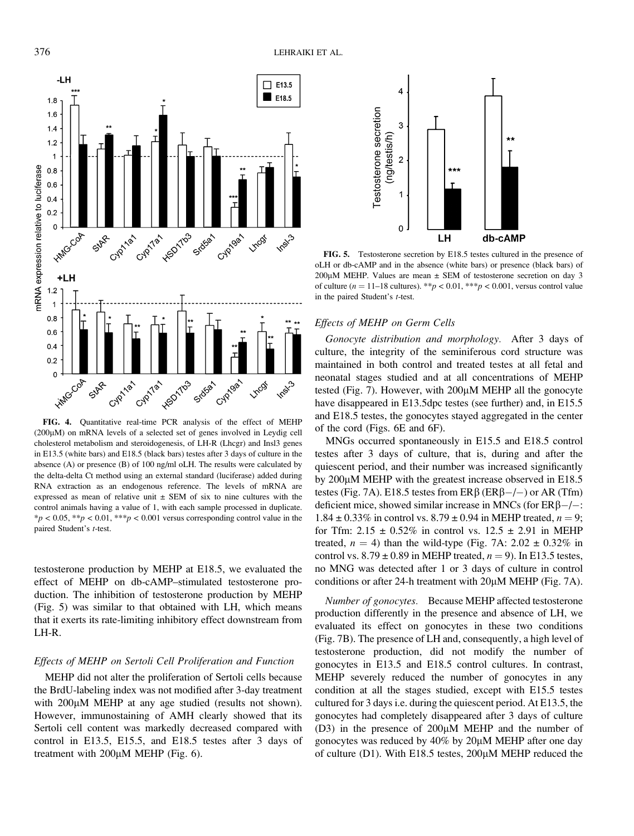

FIG. 4. Quantitative real-time PCR analysis of the effect of MEHP (200µM) on mRNA levels of a selected set of genes involved in Leydig cell cholesterol metabolism and steroidogenesis, of LH-R (Lhcgr) and Insl3 genes in E13.5 (white bars) and E18.5 (black bars) testes after 3 days of culture in the absence (A) or presence (B) of 100 ng/ml oLH. The results were calculated by the delta-delta Ct method using an external standard (luciferase) added during RNA extraction as an endogenous reference. The levels of mRNA are expressed as mean of relative unit  $\pm$  SEM of six to nine cultures with the control animals having a value of 1, with each sample processed in duplicate.  $*p < 0.05$ ,  $**p < 0.01$ ,  $***p < 0.001$  versus corresponding control value in the paired Student's t-test.

testosterone production by MEHP at E18.5, we evaluated the effect of MEHP on db-cAMP–stimulated testosterone production. The inhibition of testosterone production by MEHP (Fig. 5) was similar to that obtained with LH, which means that it exerts its rate-limiting inhibitory effect downstream from LH-R.

# Effects of MEHP on Sertoli Cell Proliferation and Function

MEHP did not alter the proliferation of Sertoli cells because the BrdU-labeling index was not modified after 3-day treatment with 200µM MEHP at any age studied (results not shown). However, immunostaining of AMH clearly showed that its Sertoli cell content was markedly decreased compared with control in E13.5, E15.5, and E18.5 testes after 3 days of treatment with  $200\mu$ M MEHP (Fig. 6).



FIG. 5. Testosterone secretion by E18.5 testes cultured in the presence of oLH or db-cAMP and in the absence (white bars) or presence (black bars) of 200 $\mu$ M MEHP. Values are mean  $\pm$  SEM of testosterone secretion on day 3 of culture ( $n = 11-18$  cultures). \*\*p < 0.01, \*\*p < 0.001, versus control value in the paired Student's t-test.

# Effects of MEHP on Germ Cells

Gonocyte distribution and morphology. After 3 days of culture, the integrity of the seminiferous cord structure was maintained in both control and treated testes at all fetal and neonatal stages studied and at all concentrations of MEHP tested (Fig. 7). However, with  $200\mu$ M MEHP all the gonocyte have disappeared in E13.5dpc testes (see further) and, in E15.5 and E18.5 testes, the gonocytes stayed aggregated in the center of the cord (Figs. 6E and 6F).

MNGs occurred spontaneously in E15.5 and E18.5 control testes after 3 days of culture, that is, during and after the quiescent period, and their number was increased significantly by  $200\mu$ M MEHP with the greatest increase observed in E18.5 testes (Fig. 7A). E18.5 testes from  $ER\beta$  ( $ER\beta-/-$ ) or AR (Tfm) deficient mice, showed similar increase in MNCs (for  $ER\beta-/-$ :  $1.84 \pm 0.33\%$  in control vs.  $8.79 \pm 0.94$  in MEHP treated,  $n = 9$ ; for Tfm:  $2.15 \pm 0.52\%$  in control vs.  $12.5 \pm 2.91$  in MEHP treated,  $n = 4$ ) than the wild-type (Fig. 7A: 2.02  $\pm$  0.32% in control vs.  $8.79 \pm 0.89$  in MEHP treated,  $n = 9$ ). In E13.5 testes, no MNG was detected after 1 or 3 days of culture in control conditions or after 24-h treatment with  $20\mu$ M MEHP (Fig. 7A).

Number of gonocytes. Because MEHP affected testosterone production differently in the presence and absence of LH, we evaluated its effect on gonocytes in these two conditions (Fig. 7B). The presence of LH and, consequently, a high level of testosterone production, did not modify the number of gonocytes in E13.5 and E18.5 control cultures. In contrast, MEHP severely reduced the number of gonocytes in any condition at all the stages studied, except with E15.5 testes cultured for 3 days i.e. during the quiescent period. At E13.5, the gonocytes had completely disappeared after 3 days of culture ( $D3$ ) in the presence of  $200\mu$ M MEHP and the number of gonocytes was reduced by 40% by 20µM MEHP after one day of culture (D1). With E18.5 testes,  $200 \mu M$  MEHP reduced the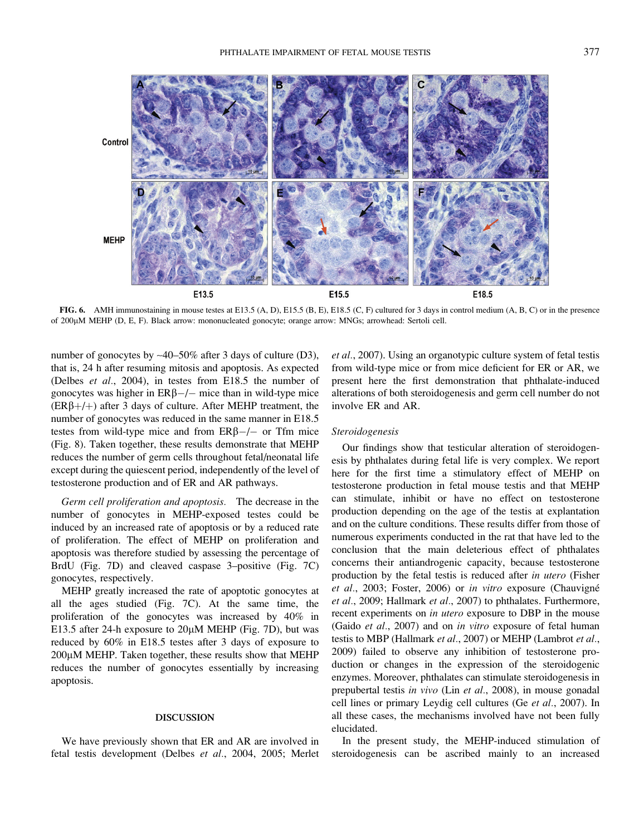

FIG. 6. AMH immunostaining in mouse testes at E13.5 (A, D), E15.5 (B, E), E18.5 (C, F) cultured for 3 days in control medium (A, B, C) or in the presence of 200lM MEHP (D, E, F). Black arrow: mononucleated gonocyte; orange arrow: MNGs; arrowhead: Sertoli cell.

number of gonocytes by ~40–50% after 3 days of culture (D3), that is, 24 h after resuming mitosis and apoptosis. As expected (Delbes et al., 2004), in testes from E18.5 the number of gonocytes was higher in  $ER\beta-/-$  mice than in wild-type mice  $(ER\beta+/+)$  after 3 days of culture. After MEHP treatment, the number of gonocytes was reduced in the same manner in E18.5 testes from wild-type mice and from  $ER\beta$ -/- or Tfm mice (Fig. 8). Taken together, these results demonstrate that MEHP reduces the number of germ cells throughout fetal/neonatal life except during the quiescent period, independently of the level of testosterone production and of ER and AR pathways.

Germ cell proliferation and apoptosis. The decrease in the number of gonocytes in MEHP-exposed testes could be induced by an increased rate of apoptosis or by a reduced rate of proliferation. The effect of MEHP on proliferation and apoptosis was therefore studied by assessing the percentage of BrdU (Fig. 7D) and cleaved caspase 3–positive (Fig. 7C) gonocytes, respectively.

MEHP greatly increased the rate of apoptotic gonocytes at all the ages studied (Fig. 7C). At the same time, the proliferation of the gonocytes was increased by 40% in E13.5 after 24-h exposure to 20µM MEHP (Fig. 7D), but was reduced by 60% in E18.5 testes after 3 days of exposure to  $200\mu$ M MEHP. Taken together, these results show that MEHP reduces the number of gonocytes essentially by increasing apoptosis.

## DISCUSSION

We have previously shown that ER and AR are involved in fetal testis development (Delbes et al., 2004, 2005; Merlet

et al., 2007). Using an organotypic culture system of fetal testis from wild-type mice or from mice deficient for ER or AR, we present here the first demonstration that phthalate-induced alterations of both steroidogenesis and germ cell number do not involve ER and AR.

### Steroidogenesis

Our findings show that testicular alteration of steroidogenesis by phthalates during fetal life is very complex. We report here for the first time a stimulatory effect of MEHP on testosterone production in fetal mouse testis and that MEHP can stimulate, inhibit or have no effect on testosterone production depending on the age of the testis at explantation and on the culture conditions. These results differ from those of numerous experiments conducted in the rat that have led to the conclusion that the main deleterious effect of phthalates concerns their antiandrogenic capacity, because testosterone production by the fetal testis is reduced after in utero (Fisher et al., 2003; Foster, 2006) or in vitro exposure (Chauvigné et al., 2009; Hallmark et al., 2007) to phthalates. Furthermore, recent experiments on in utero exposure to DBP in the mouse (Gaido et al., 2007) and on in vitro exposure of fetal human testis to MBP (Hallmark et al., 2007) or MEHP (Lambrot et al., 2009) failed to observe any inhibition of testosterone production or changes in the expression of the steroidogenic enzymes. Moreover, phthalates can stimulate steroidogenesis in prepubertal testis in vivo (Lin et al., 2008), in mouse gonadal cell lines or primary Leydig cell cultures (Ge et al., 2007). In all these cases, the mechanisms involved have not been fully elucidated.

In the present study, the MEHP-induced stimulation of steroidogenesis can be ascribed mainly to an increased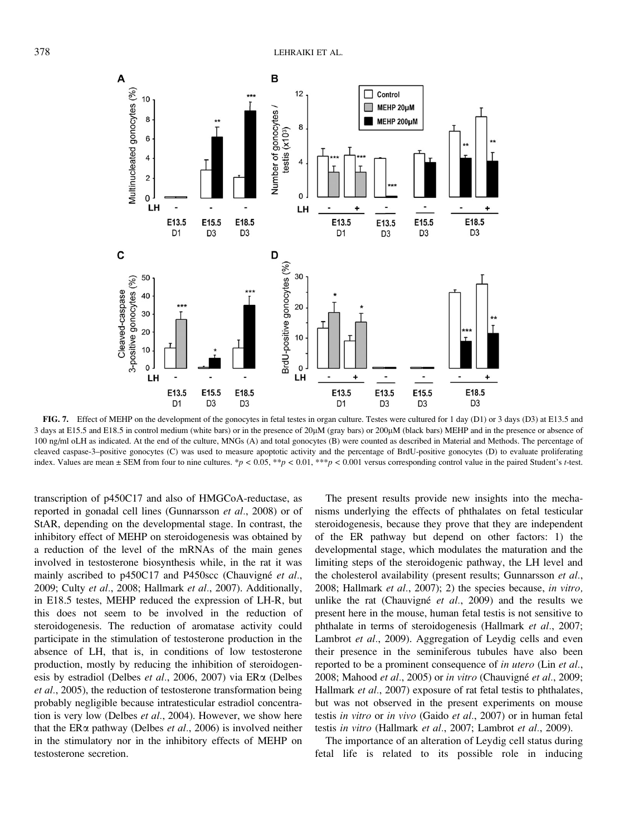

FIG. 7. Effect of MEHP on the development of the gonocytes in fetal testes in organ culture. Testes were cultured for 1 day (D1) or 3 days (D3) at E13.5 and 3 days at E15.5 and E18.5 in control medium (white bars) or in the presence of 20lM (gray bars) or 200lM (black bars) MEHP and in the presence or absence of 100 ng/ml oLH as indicated. At the end of the culture, MNGs (A) and total gonocytes (B) were counted as described in Material and Methods. The percentage of cleaved caspase-3–positive gonocytes (C) was used to measure apoptotic activity and the percentage of BrdU-positive gonocytes (D) to evaluate proliferating index. Values are mean  $\pm$  SEM from four to nine cultures. \*p < 0.05, \*\*p < 0.01, \*\*\*p < 0.001 versus corresponding control value in the paired Student's t-test.

transcription of p450C17 and also of HMGCoA-reductase, as reported in gonadal cell lines (Gunnarsson et al., 2008) or of StAR, depending on the developmental stage. In contrast, the inhibitory effect of MEHP on steroidogenesis was obtained by a reduction of the level of the mRNAs of the main genes involved in testosterone biosynthesis while, in the rat it was mainly ascribed to p450C17 and P450scc (Chauvigné et al., 2009; Culty et al., 2008; Hallmark et al., 2007). Additionally, in E18.5 testes, MEHP reduced the expression of LH-R, but this does not seem to be involved in the reduction of steroidogenesis. The reduction of aromatase activity could participate in the stimulation of testosterone production in the absence of LH, that is, in conditions of low testosterone production, mostly by reducing the inhibition of steroidogenesis by estradiol (Delbes *et al.*, 2006, 2007) via  $ER\alpha$  (Delbes et al., 2005), the reduction of testosterone transformation being probably negligible because intratesticular estradiol concentration is very low (Delbes et al., 2004). However, we show here that the ER $\alpha$  pathway (Delbes et al., 2006) is involved neither in the stimulatory nor in the inhibitory effects of MEHP on testosterone secretion.

The present results provide new insights into the mechanisms underlying the effects of phthalates on fetal testicular steroidogenesis, because they prove that they are independent of the ER pathway but depend on other factors: 1) the developmental stage, which modulates the maturation and the limiting steps of the steroidogenic pathway, the LH level and the cholesterol availability (present results; Gunnarsson et al., 2008; Hallmark et al., 2007); 2) the species because, in vitro, unlike the rat (Chauvigné *et al.*, 2009) and the results we present here in the mouse, human fetal testis is not sensitive to phthalate in terms of steroidogenesis (Hallmark et al., 2007; Lambrot et al., 2009). Aggregation of Leydig cells and even their presence in the seminiferous tubules have also been reported to be a prominent consequence of in utero (Lin et al., 2008; Mahood et al., 2005) or in vitro (Chauvigné et al., 2009; Hallmark et al., 2007) exposure of rat fetal testis to phthalates, but was not observed in the present experiments on mouse testis in vitro or in vivo (Gaido et al., 2007) or in human fetal testis in vitro (Hallmark et al., 2007; Lambrot et al., 2009).

The importance of an alteration of Leydig cell status during fetal life is related to its possible role in inducing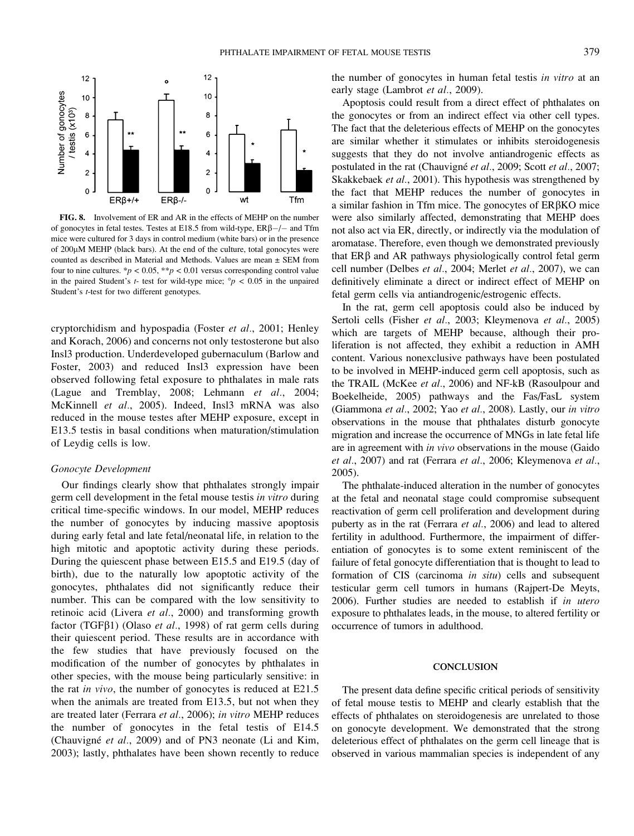

FIG. 8. Involvement of ER and AR in the effects of MEHP on the number of gonocytes in fetal testes. Testes at E18.5 from wild-type,  $ER\beta$  –/ – and Tfmmice were cultured for 3 days in control medium (white bars) or in the presence of 200µM MEHP (black bars). At the end of the culture, total gonocytes were counted as described in Material and Methods. Values are mean ± SEM from four to nine cultures. \* $p < 0.05$ , \*\* $p < 0.01$  versus corresponding control value in the paired Student's t- test for wild-type mice;  $\degree p$  < 0.05 in the unpaired Student's *t*-test for two different genotypes.

cryptorchidism and hypospadia (Foster et al., 2001; Henley and Korach, 2006) and concerns not only testosterone but also Insl3 production. Underdeveloped gubernaculum (Barlow and Foster, 2003) and reduced Insl3 expression have been observed following fetal exposure to phthalates in male rats (Lague and Tremblay, 2008; Lehmann et al., 2004; McKinnell et al., 2005). Indeed, Insl3 mRNA was also reduced in the mouse testes after MEHP exposure, except in E13.5 testis in basal conditions when maturation/stimulation of Leydig cells is low.

#### Gonocyte Development

Our findings clearly show that phthalates strongly impair germ cell development in the fetal mouse testis in vitro during critical time-specific windows. In our model, MEHP reduces the number of gonocytes by inducing massive apoptosis during early fetal and late fetal/neonatal life, in relation to the high mitotic and apoptotic activity during these periods. During the quiescent phase between E15.5 and E19.5 (day of birth), due to the naturally low apoptotic activity of the gonocytes, phthalates did not significantly reduce their number. This can be compared with the low sensitivity to retinoic acid (Livera et al., 2000) and transforming growth factor (TGF $\beta$ 1) (Olaso *et al.*, 1998) of rat germ cells during their quiescent period. These results are in accordance with the few studies that have previously focused on the modification of the number of gonocytes by phthalates in other species, with the mouse being particularly sensitive: in the rat in vivo, the number of gonocytes is reduced at E21.5 when the animals are treated from E13.5, but not when they are treated later (Ferrara et al., 2006); in vitro MEHP reduces the number of gonocytes in the fetal testis of E14.5 (Chauvigné *et al.*, 2009) and of PN3 neonate (Li and Kim, 2003); lastly, phthalates have been shown recently to reduce

the number of gonocytes in human fetal testis *in vitro* at an early stage (Lambrot et al., 2009).

Apoptosis could result from a direct effect of phthalates on the gonocytes or from an indirect effect via other cell types. The fact that the deleterious effects of MEHP on the gonocytes are similar whether it stimulates or inhibits steroidogenesis suggests that they do not involve antiandrogenic effects as postulated in the rat (Chauvigné et al., 2009; Scott et al., 2007; Skakkebaek et al., 2001). This hypothesis was strengthened by the fact that MEHP reduces the number of gonocytes in a similar fashion in Tfm mice. The gonocytes of  $ER\beta KO$  mice were also similarly affected, demonstrating that MEHP does not also act via ER, directly, or indirectly via the modulation of aromatase. Therefore, even though we demonstrated previously that  $ER\beta$  and AR pathways physiologically control fetal germ cell number (Delbes et al., 2004; Merlet et al., 2007), we can definitively eliminate a direct or indirect effect of MEHP on fetal germ cells via antiandrogenic/estrogenic effects.

In the rat, germ cell apoptosis could also be induced by Sertoli cells (Fisher et al., 2003; Kleymenova et al., 2005) which are targets of MEHP because, although their proliferation is not affected, they exhibit a reduction in AMH content. Various nonexclusive pathways have been postulated to be involved in MEHP-induced germ cell apoptosis, such as the TRAIL (McKee et al., 2006) and NF-kB (Rasoulpour and Boekelheide, 2005) pathways and the Fas/FasL system (Giammona et al., 2002; Yao et al., 2008). Lastly, our in vitro observations in the mouse that phthalates disturb gonocyte migration and increase the occurrence of MNGs in late fetal life are in agreement with in vivo observations in the mouse (Gaido et al., 2007) and rat (Ferrara et al., 2006; Kleymenova et al., 2005).

The phthalate-induced alteration in the number of gonocytes at the fetal and neonatal stage could compromise subsequent reactivation of germ cell proliferation and development during puberty as in the rat (Ferrara et al., 2006) and lead to altered fertility in adulthood. Furthermore, the impairment of differentiation of gonocytes is to some extent reminiscent of the failure of fetal gonocyte differentiation that is thought to lead to formation of CIS (carcinoma in situ) cells and subsequent testicular germ cell tumors in humans (Rajpert-De Meyts, 2006). Further studies are needed to establish if in utero exposure to phthalates leads, in the mouse, to altered fertility or occurrence of tumors in adulthood.

### **CONCLUSION**

The present data define specific critical periods of sensitivity of fetal mouse testis to MEHP and clearly establish that the effects of phthalates on steroidogenesis are unrelated to those on gonocyte development. We demonstrated that the strong deleterious effect of phthalates on the germ cell lineage that is observed in various mammalian species is independent of any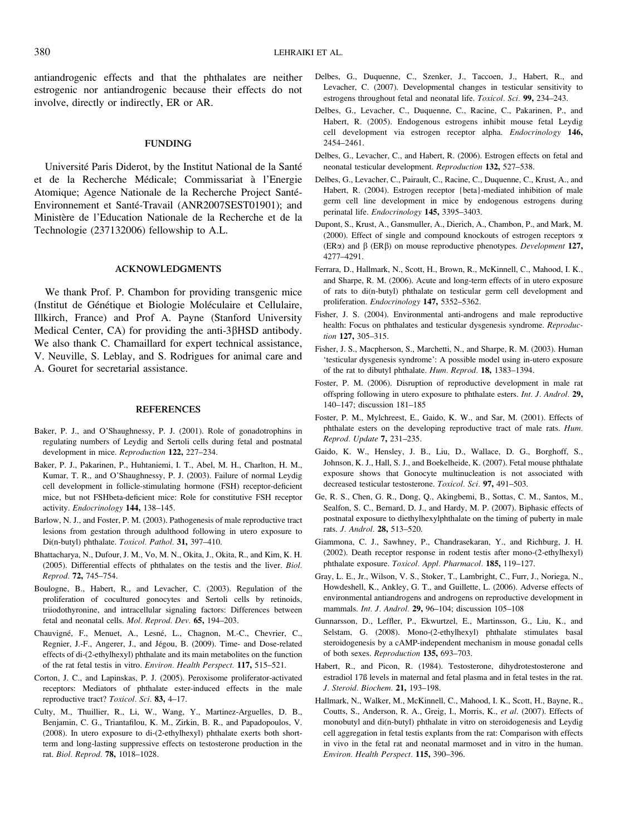antiandrogenic effects and that the phthalates are neither estrogenic nor antiandrogenic because their effects do not involve, directly or indirectly, ER or AR.

## FUNDING

Université Paris Diderot, by the Institut National de la Santé et de la Recherche Médicale; Commissariat à l'Energie Atomique; Agence Nationale de la Recherche Project Santé-Environnement et Santé-Travail (ANR2007SEST01901); and Ministère de l'Education Nationale de la Recherche et de la Technologie (237132006) fellowship to A.L.

#### ACKNOWLEDGMENTS

We thank Prof. P. Chambon for providing transgenic mice (Institut de Génétique et Biologie Moléculaire et Cellulaire, Illkirch, France) and Prof A. Payne (Stanford University Medical Center, CA) for providing the anti- $3\beta$ HSD antibody. We also thank C. Chamaillard for expert technical assistance, V. Neuville, S. Leblay, and S. Rodrigues for animal care and A. Gouret for secretarial assistance.

#### **REFERENCES**

- Baker, P. J., and O'Shaughnessy, P. J. (2001). Role of gonadotrophins in regulating numbers of Leydig and Sertoli cells during fetal and postnatal development in mice. Reproduction 122, 227–234.
- Baker, P. J., Pakarinen, P., Huhtaniemi, I. T., Abel, M. H., Charlton, H. M., Kumar, T. R., and O'Shaughnessy, P. J. (2003). Failure of normal Leydig cell development in follicle-stimulating hormone (FSH) receptor-deficient mice, but not FSHbeta-deficient mice: Role for constitutive FSH receptor activity. Endocrinology 144, 138–145.
- Barlow, N. J., and Foster, P. M. (2003). Pathogenesis of male reproductive tract lesions from gestation through adulthood following in utero exposure to Di(n-butyl) phthalate. Toxicol. Pathol. 31, 397-410.
- Bhattacharya, N., Dufour, J. M., Vo, M. N., Okita, J., Okita, R., and Kim, K. H. (2005). Differential effects of phthalates on the testis and the liver. Biol. Reprod. 72, 745–754.
- Boulogne, B., Habert, R., and Levacher, C. (2003). Regulation of the proliferation of cocultured gonocytes and Sertoli cells by retinoids, triiodothyronine, and intracellular signaling factors: Differences between fetal and neonatal cells. Mol. Reprod. Dev. 65, 194–203.
- Chauvigné, F., Menuet, A., Lesné, L., Chagnon, M.-C., Chevrier, C., Regnier, J.-F., Angerer, J., and Jégou, B. (2009). Time- and Dose-related effects of di-(2-ethylhexyl) phthalate and its main metabolites on the function of the rat fetal testis in vitro. Environ. Health Perspect. 117, 515–521.
- Corton, J. C., and Lapinskas, P. J. (2005). Peroxisome proliferator-activated receptors: Mediators of phthalate ester-induced effects in the male reproductive tract? Toxicol. Sci. 83, 4-17.
- Culty, M., Thuillier, R., Li, W., Wang, Y., Martinez-Arguelles, D. B., Benjamin, C. G., Triantafilou, K. M., Zirkin, B. R., and Papadopoulos, V. (2008). In utero exposure to di-(2-ethylhexyl) phthalate exerts both shortterm and long-lasting suppressive effects on testosterone production in the rat. Biol. Reprod. 78, 1018–1028.
- Delbes, G., Duquenne, C., Szenker, J., Taccoen, J., Habert, R., and Levacher, C. (2007). Developmental changes in testicular sensitivity to estrogens throughout fetal and neonatal life. Toxicol. Sci. 99, 234–243.
- Delbes, G., Levacher, C., Duquenne, C., Racine, C., Pakarinen, P., and Habert, R. (2005). Endogenous estrogens inhibit mouse fetal Leydig cell development via estrogen receptor alpha. Endocrinology 146, 2454–2461.
- Delbes, G., Levacher, C., and Habert, R. (2006). Estrogen effects on fetal and neonatal testicular development. Reproduction 132, 527–538.
- Delbes, G., Levacher, C., Pairault, C., Racine, C., Duquenne, C., Krust, A., and Habert, R. (2004). Estrogen receptor {beta}-mediated inhibition of male germ cell line development in mice by endogenous estrogens during perinatal life. Endocrinology 145, 3395–3403.
- Dupont, S., Krust, A., Gansmuller, A., Dierich, A., Chambon, P., and Mark, M. (2000). Effect of single and compound knockouts of estrogen receptors  $\alpha$ ( $ER\alpha$ ) and  $\beta$  ( $ER\beta$ ) on mouse reproductive phenotypes. Development 127, 4277–4291.
- Ferrara, D., Hallmark, N., Scott, H., Brown, R., McKinnell, C., Mahood, I. K., and Sharpe, R. M. (2006). Acute and long-term effects of in utero exposure of rats to di(n-butyl) phthalate on testicular germ cell development and proliferation. Endocrinology 147, 5352-5362.
- Fisher, J. S. (2004). Environmental anti-androgens and male reproductive health: Focus on phthalates and testicular dysgenesis syndrome. Reproduction 127, 305–315.
- Fisher, J. S., Macpherson, S., Marchetti, N., and Sharpe, R. M. (2003). Human 'testicular dysgenesis syndrome': A possible model using in-utero exposure of the rat to dibutyl phthalate. Hum. Reprod. 18, 1383–1394.
- Foster, P. M. (2006). Disruption of reproductive development in male rat offspring following in utero exposure to phthalate esters. Int. J. Androl. 29, 140–147; discussion 181–185
- Foster, P. M., Mylchreest, E., Gaido, K. W., and Sar, M. (2001). Effects of phthalate esters on the developing reproductive tract of male rats. Hum. Reprod. Update 7, 231–235.
- Gaido, K. W., Hensley, J. B., Liu, D., Wallace, D. G., Borghoff, S., Johnson, K. J., Hall, S. J., and Boekelheide, K. (2007). Fetal mouse phthalate exposure shows that Gonocyte multinucleation is not associated with decreased testicular testosterone. Toxicol. Sci. 97, 491-503.
- Ge, R. S., Chen, G. R., Dong, Q., Akingbemi, B., Sottas, C. M., Santos, M., Sealfon, S. C., Bernard, D. J., and Hardy, M. P. (2007). Biphasic effects of postnatal exposure to diethylhexylphthalate on the timing of puberty in male rats. J. Androl. 28, 513–520.
- Giammona, C. J., Sawhney, P., Chandrasekaran, Y., and Richburg, J. H. (2002). Death receptor response in rodent testis after mono-(2-ethylhexyl) phthalate exposure. Toxicol. Appl. Pharmacol. 185, 119-127.
- Gray, L. E., Jr., Wilson, V. S., Stoker, T., Lambright, C., Furr, J., Noriega, N., Howdeshell, K., Ankley, G. T., and Guillette, L. (2006). Adverse effects of environmental antiandrogens and androgens on reproductive development in mammals. Int. J. Androl. 29, 96–104; discussion 105–108
- Gunnarsson, D., Leffler, P., Ekwurtzel, E., Martinsson, G., Liu, K., and Selstam, G. (2008). Mono-(2-ethylhexyl) phthalate stimulates basal steroidogenesis by a cAMP-independent mechanism in mouse gonadal cells of both sexes. Reproduction 135, 693–703.
- Habert, R., and Picon, R. (1984). Testosterone, dihydrotestosterone and estradiol 17ß levels in maternal and fetal plasma and in fetal testes in the rat. J. Steroid. Biochem. 21, 193–198.
- Hallmark, N., Walker, M., McKinnell, C., Mahood, I. K., Scott, H., Bayne, R., Coutts, S., Anderson, R. A., Greig, I., Morris, K., et al. (2007). Effects of monobutyl and di(n-butyl) phthalate in vitro on steroidogenesis and Leydig cell aggregation in fetal testis explants from the rat: Comparison with effects in vivo in the fetal rat and neonatal marmoset and in vitro in the human. Environ. Health Perspect. 115, 390–396.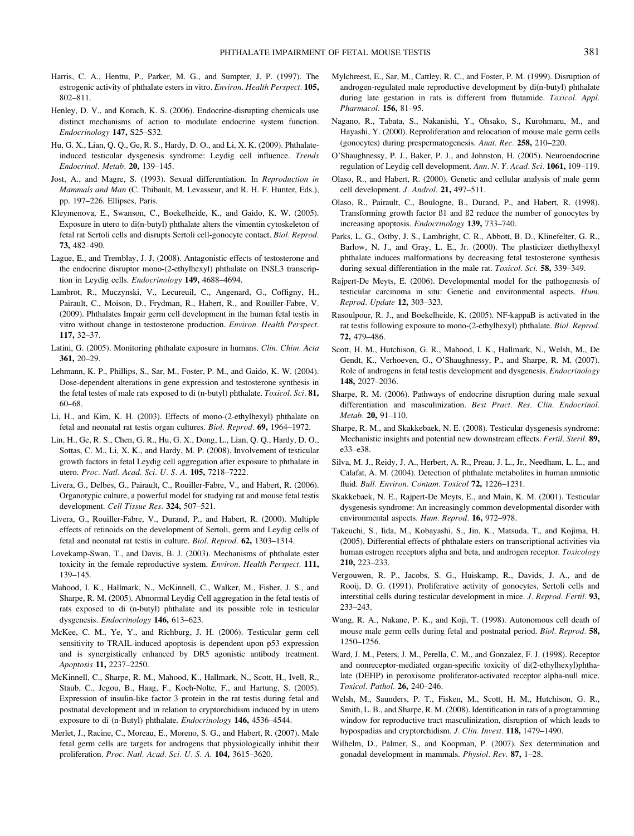- Harris, C. A., Henttu, P., Parker, M. G., and Sumpter, J. P. (1997). The estrogenic activity of phthalate esters in vitro. Environ. Health Perspect. 105, 802–811.
- Henley, D. V., and Korach, K. S. (2006). Endocrine-disrupting chemicals use distinct mechanisms of action to modulate endocrine system function. Endocrinology 147, S25–S32.
- Hu, G. X., Lian, Q. Q., Ge, R. S., Hardy, D. O., and Li, X. K. (2009). Phthalateinduced testicular dysgenesis syndrome: Leydig cell influence. Trends Endocrinol. Metab. 20, 139–145.
- Jost, A., and Magre, S. (1993). Sexual differentiation. In Reproduction in Mammals and Man (C. Thibault, M. Levasseur, and R. H. F. Hunter, Eds.), pp. 197–226. Ellipses, Paris.
- Kleymenova, E., Swanson, C., Boekelheide, K., and Gaido, K. W. (2005). Exposure in utero to di(n-butyl) phthalate alters the vimentin cytoskeleton of fetal rat Sertoli cells and disrupts Sertoli cell-gonocyte contact. Biol. Reprod. 73, 482–490.
- Lague, E., and Tremblay, J. J. (2008). Antagonistic effects of testosterone and the endocrine disruptor mono-(2-ethylhexyl) phthalate on INSL3 transcription in Leydig cells. Endocrinology 149, 4688-4694.
- Lambrot, R., Muczynski, V., Lecureuil, C., Angenard, G., Coffigny, H., Pairault, C., Moison, D., Frydman, R., Habert, R., and Rouiller-Fabre, V. (2009). Phthalates Impair germ cell development in the human fetal testis in vitro without change in testosterone production. Environ. Health Perspect. 117, 32–37.
- Latini, G. (2005). Monitoring phthalate exposure in humans. Clin. Chim. Acta 361, 20–29.
- Lehmann, K. P., Phillips, S., Sar, M., Foster, P. M., and Gaido, K. W. (2004). Dose-dependent alterations in gene expression and testosterone synthesis in the fetal testes of male rats exposed to di (n-butyl) phthalate. Toxicol. Sci. 81, 60–68.
- Li, H., and Kim, K. H. (2003). Effects of mono-(2-ethylhexyl) phthalate on fetal and neonatal rat testis organ cultures. Biol. Reprod. 69, 1964–1972.
- Lin, H., Ge, R. S., Chen, G. R., Hu, G. X., Dong, L., Lian, Q. Q., Hardy, D. O., Sottas, C. M., Li, X. K., and Hardy, M. P. (2008). Involvement of testicular growth factors in fetal Leydig cell aggregation after exposure to phthalate in utero. Proc. Natl. Acad. Sci. U. S. A. 105, 7218–7222.
- Livera, G., Delbes, G., Pairault, C., Rouiller-Fabre, V., and Habert, R. (2006). Organotypic culture, a powerful model for studying rat and mouse fetal testis development. Cell Tissue Res. 324, 507-521.
- Livera, G., Rouiller-Fabre, V., Durand, P., and Habert, R. (2000). Multiple effects of retinoids on the development of Sertoli, germ and Leydig cells of fetal and neonatal rat testis in culture. Biol. Reprod. 62, 1303–1314.
- Lovekamp-Swan, T., and Davis, B. J. (2003). Mechanisms of phthalate ester toxicity in the female reproductive system. Environ. Health Perspect. 111, 139–145.
- Mahood, I. K., Hallmark, N., McKinnell, C., Walker, M., Fisher, J. S., and Sharpe, R. M. (2005). Abnormal Leydig Cell aggregation in the fetal testis of rats exposed to di (n-butyl) phthalate and its possible role in testicular dysgenesis. Endocrinology 146, 613–623.
- McKee, C. M., Ye, Y., and Richburg, J. H. (2006). Testicular germ cell sensitivity to TRAIL-induced apoptosis is dependent upon p53 expression and is synergistically enhanced by DR5 agonistic antibody treatment. Apoptosis 11, 2237–2250.
- McKinnell, C., Sharpe, R. M., Mahood, K., Hallmark, N., Scott, H., Ivell, R., Staub, C., Jegou, B., Haag, F., Koch-Nolte, F., and Hartung, S. (2005). Expression of insulin-like factor 3 protein in the rat testis during fetal and postnatal development and in relation to cryptorchidism induced by in utero exposure to di (n-Butyl) phthalate. *Endocrinology* 146, 4536–4544.
- Merlet, J., Racine, C., Moreau, E., Moreno, S. G., and Habert, R. (2007). Male fetal germ cells are targets for androgens that physiologically inhibit their proliferation. Proc. Natl. Acad. Sci. U. S. A. 104, 3615-3620.
- Mylchreest, E., Sar, M., Cattley, R. C., and Foster, P. M. (1999). Disruption of androgen-regulated male reproductive development by di(n-butyl) phthalate during late gestation in rats is different from flutamide. Toxicol. Appl. Pharmacol. 156, 81–95.
- Nagano, R., Tabata, S., Nakanishi, Y., Ohsako, S., Kurohmaru, M., and Hayashi, Y. (2000). Reproliferation and relocation of mouse male germ cells (gonocytes) during prespermatogenesis. Anat. Rec. 258, 210–220.
- O'Shaughnessy, P. J., Baker, P. J., and Johnston, H. (2005). Neuroendocrine regulation of Leydig cell development. Ann. N. Y. Acad. Sci. 1061, 109-119.
- Olaso, R., and Habert, R. (2000). Genetic and cellular analysis of male germ cell development. J. Androl. 21, 497-511.
- Olaso, R., Pairault, C., Boulogne, B., Durand, P., and Habert, R. (1998). Transforming growth factor ß1 and ß2 reduce the number of gonocytes by increasing apoptosis. Endocrinology 139, 733–740.
- Parks, L. G., Ostby, J. S., Lambright, C. R., Abbott, B. D., Klinefelter, G. R., Barlow, N. J., and Gray, L. E., Jr. (2000). The plasticizer diethylhexyl phthalate induces malformations by decreasing fetal testosterone synthesis during sexual differentiation in the male rat. Toxicol. Sci. 58, 339-349.
- Rajpert-De Meyts, E. (2006). Developmental model for the pathogenesis of testicular carcinoma in situ: Genetic and environmental aspects. Hum. Reprod. Update 12, 303–323.
- Rasoulpour, R. J., and Boekelheide, K. (2005). NF-kappaB is activated in the rat testis following exposure to mono-(2-ethylhexyl) phthalate. Biol. Reprod. 72, 479–486.
- Scott, H. M., Hutchison, G. R., Mahood, I. K., Hallmark, N., Welsh, M., De Gendt, K., Verhoeven, G., O'Shaughnessy, P., and Sharpe, R. M. (2007). Role of androgens in fetal testis development and dysgenesis. Endocrinology 148, 2027–2036.
- Sharpe, R. M. (2006). Pathways of endocrine disruption during male sexual differentiation and masculinization. Best Pract. Res. Clin. Endocrinol. Metab. 20, 91-110.
- Sharpe, R. M., and Skakkebaek, N. E. (2008). Testicular dysgenesis syndrome: Mechanistic insights and potential new downstream effects. Fertil. Steril. 89, e33–e38.
- Silva, M. J., Reidy, J. A., Herbert, A. R., Preau, J. L., Jr., Needham, L. L., and Calafat, A. M. (2004). Detection of phthalate metabolites in human amniotic fluid. Bull. Environ. Contam. Toxicol 72, 1226-1231.
- Skakkebaek, N. E., Rajpert-De Meyts, E., and Main, K. M. (2001). Testicular dysgenesis syndrome: An increasingly common developmental disorder with environmental aspects. Hum. Reprod. 16, 972–978.
- Takeuchi, S., Iida, M., Kobayashi, S., Jin, K., Matsuda, T., and Kojima, H. (2005). Differential effects of phthalate esters on transcriptional activities via human estrogen receptors alpha and beta, and androgen receptor. Toxicology 210, 223–233.
- Vergouwen, R. P., Jacobs, S. G., Huiskamp, R., Davids, J. A., and de Rooij, D. G. (1991). Proliferative activity of gonocytes, Sertoli cells and interstitial cells during testicular development in mice. J. Reprod. Fertil. 93, 233–243.
- Wang, R. A., Nakane, P. K., and Koji, T. (1998). Autonomous cell death of mouse male germ cells during fetal and postnatal period. Biol. Reprod. 58, 1250–1256.
- Ward, J. M., Peters, J. M., Perella, C. M., and Gonzalez, F. J. (1998). Receptor and nonreceptor-mediated organ-specific toxicity of di(2-ethylhexyl)phthalate (DEHP) in peroxisome proliferator-activated receptor alpha-null mice. Toxicol. Pathol. 26, 240–246.
- Welsh, M., Saunders, P. T., Fisken, M., Scott, H. M., Hutchison, G. R., Smith, L. B., and Sharpe, R. M. (2008). Identification in rats of a programming window for reproductive tract masculinization, disruption of which leads to hypospadias and cryptorchidism. J. Clin. Invest. **118**, 1479–1490.
- Wilhelm, D., Palmer, S., and Koopman, P. (2007). Sex determination and gonadal development in mammals. Physiol. Rev. 87, 1–28.